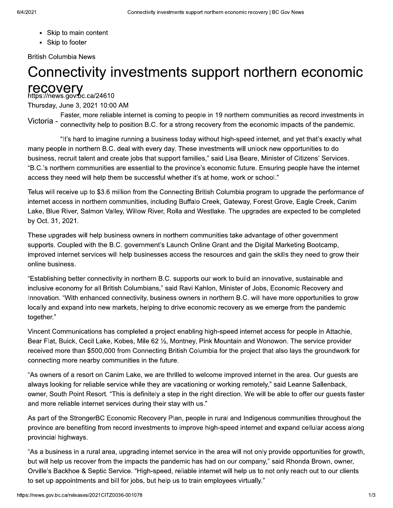- Skip to main content
- Skip to footer

**British Columbia News** 

# Connectivity investments support northern economic **recovery**<br>https://news.gov.pc.ca/24610

Thursday, June 3, 2021 10:00 AM

Faster, more reliable internet is coming to people in 19 northern communities as record investments in Victoria - connectivity help to position B.C. for a strong recovery from the economic impacts of the pandemic.

"It's hard to imagine running a business today without high-speed internet, and yet that's exactly what many people in northern B.C. deal with every day. These investments will unlock new opportunities to do business, recruit talent and create jobs that support families," said Lisa Beare, Minister of Citizens' Services. "B.C.'s northern communities are essential to the province's economic future. Ensuring people have the internet access they need will help them be successful whether it's at home, work or school."

Telus will receive up to \$3.6 million from the Connecting British Columbia program to upgrade the performance of internet access in northern communities, including Buffalo Creek, Gateway, Forest Grove, Eagle Creek, Canim Lake, Blue River, Salmon Valley, Willow River, Rolla and Westlake. The upgrades are expected to be completed by Oct. 31, 2021.

These upgrades will help business owners in northern communities take advantage of other government supports. Coupled with the B.C. government's Launch Online Grant and the Digital Marketing Bootcamp, improved internet services will help businesses access the resources and gain the skills they need to grow their online business.

"Establishing better connectivity in northern B.C. supports our work to build an innovative, sustainable and inclusive economy for all British Columbians," said Ravi Kahlon, Minister of Jobs, Economic Recovery and Innovation. "With enhanced connectivity, business owners in northern B.C. will have more opportunities to grow locally and expand into new markets, helping to drive economic recovery as we emerge from the pandemic together."

Vincent Communications has completed a project enabling high-speed internet access for people in Attachie, Bear Flat, Buick, Cecil Lake, Kobes, Mile 62 1/<sub>2</sub>, Montney, Pink Mountain and Wonowon. The service provider received more than \$500,000 from Connecting British Columbia for the project that also lays the groundwork for connecting more nearby communities in the future.

"As owners of a resort on Canim Lake, we are thrilled to welcome improved internet in the area. Our quests are always looking for reliable service while they are vacationing or working remotely," said Leanne Sallenback, owner, South Point Resort. "This is definitely a step in the right direction. We will be able to offer our guests faster and more reliable internet services during their stay with us."

As part of the StrongerBC Economic Recovery Plan, people in rural and Indigenous communities throughout the province are benefiting from record investments to improve high-speed internet and expand cellular access along provincial highways.

"As a business in a rural area, upgrading internet service in the area will not only provide opportunities for growth, but will help us recover from the impacts the pandemic has had on our company," said Rhonda Brown, owner, Orville's Backhoe & Septic Service. "High-speed, reliable internet will help us to not only reach out to our clients to set up appointments and bill for jobs, but help us to train employees virtually."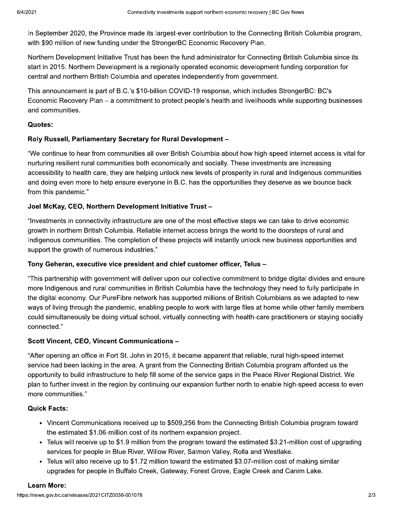In September 2020, the Province made its largest-ever contribution to the Connecting British Columbia program, with \$90 million of new funding under the StrongerBC Economic Recovery Plan.

Northern Development Initiative Trust has been the fund administrator for Connecting British Columbia since its start in 2015. Northern Development is a regionally operated economic development funding corporation for central and northern British Columbia and operates independently from government.

This announcement is part of B.C.'s \$10-billion COVID-19 response, which includes StrongerBC: BC's Economic Recovery Plan – a commitment to protect people's health and livelihoods while supporting businesses and communities.

## Quotes:

## Roly Russell, Parliamentary Secretary for Rural Development -

"We continue to hear from communities all over British Columbia about how high-speed internet access is vital for nurturing resilient rural communities both economically and socially. These investments are increasing accessibility to health care, they are helping unlock new levels of prosperity in rural and Indigenous communities and doing even more to help ensure everyone in B.C. has the opportunities they deserve as we bounce back from this pandemic."

## Joel McKay, CEO, Northern Development Initiative Trust -

"Investments in connectivity infrastructure are one of the most effective steps we can take to drive economic growth in northern British Columbia. Reliable internet access brings the world to the doorsteps of rural and Indigenous communities. The completion of these projects will instantly unlock new business opportunities and support the growth of numerous industries."

#### Tony Geheran, executive vice president and chief customer officer, Telus -

"This partnership with government will deliver upon our collective commitment to bridge digital divides and ensure more Indigenous and rural communities in British Columbia have the technology they need to fully participate in the digital economy. Our PureFibre network has supported millions of British Columbians as we adapted to new ways of living through the pandemic, enabling people to work with large files at home while other family members could simultaneously be doing virtual school, virtually connecting with health-care practitioners or staying socially connected."

# Scott Vincent, CEO, Vincent Communications -

"After opening an office in Fort St. John in 2015, it became apparent that reliable, rural high-speed internet service had been lacking in the area. A grant from the Connecting British Columbia program afforded us the opportunity to build infrastructure to help fill some of the service gaps in the Peace River Regional District. We plan to further invest in the region by continuing our expansion further north to enable high-speed access to even more communities."

# **Quick Facts:**

- Vincent Communications received up to \$509,256 from the Connecting British Columbia program toward the estimated \$1.06-million cost of its northern expansion project.
- Telus will receive up to \$1.9 million from the program toward the estimated \$3.21-million cost of upgrading services for people in Blue River, Willow River, Salmon Valley, Rolla and Westlake.
- Telus will also receive up to \$1.72 million toward the estimated \$3.07-million cost of making similar upgrades for people in Buffalo Creek, Gateway, Forest Grove, Eagle Creek and Canim Lake.

#### **Learn More:**